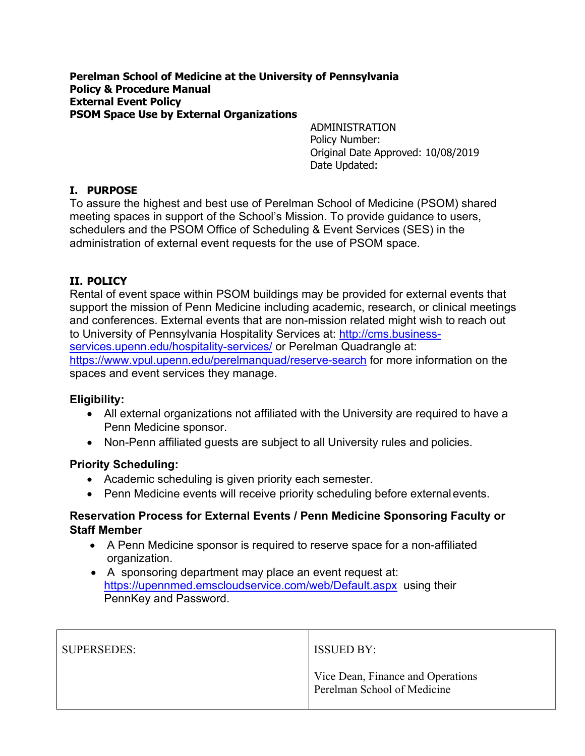#### **Perelman School of Medicine at the University of Pennsylvania Policy & Procedure Manual External Event Policy PSOM Space Use by External Organizations**

ADMINISTRATION Policy Number: Original Date Approved: 10/08/2019 Date Updated:

## **I. PURPOSE**

To assure the highest and best use of Perelman School of Medicine (PSOM) shared meeting spaces in support of the School's Mission. To provide guidance to users, schedulers and the PSOM Office of Scheduling & Event Services (SES) in the administration of external event requests for the use of PSOM space.

# **II. POLICY**

Rental of event space within PSOM buildings may be provided for external events that support the mission of Penn Medicine including academic, research, or clinical meetings and conferences. External events that are non-mission related might wish to reach out to University of Pennsylvania Hospitality Services at: http://cms.businessservices.upenn.edu/hospitality-services/ or Perelman Quadrangle at: https://www.vpul.upenn.edu/perelmanquad/reserve-search for more information on the spaces and event services they manage.

## **Eligibility:**

- All external organizations not affiliated with the University are required to have a Penn Medicine sponsor.
- Non-Penn affiliated guests are subject to all University rules and policies.

## **Priority Scheduling:**

- Academic scheduling is given priority each semester.
- Penn Medicine events will receive priority scheduling before external events.

#### **Reservation Process for External Events / Penn Medicine Sponsoring Faculty or Staff Member**

- A Penn Medicine sponsor is required to reserve space for a non-affiliated organization.
- A sponsoring department may place an event request at: https://upennmed.emscloudservice.com/web/Default.aspx using their PennKey and Password.

| <b>SUPERSEDES:</b> | <b>ISSUED BY:</b>                                                |
|--------------------|------------------------------------------------------------------|
|                    | Vice Dean, Finance and Operations<br>Perelman School of Medicine |